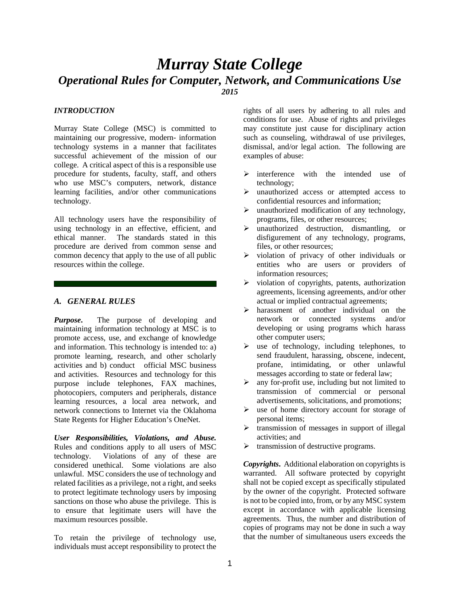# *Murray State College Operational Rules for Computer, Network, and Communications Use 2015*

#### *INTRODUCTION*

Murray State College (MSC) is committed to maintaining our progressive, modern- information technology systems in a manner that facilitates successful achievement of the mission of our college. A critical aspect of this is a responsible use procedure for students, faculty, staff, and others who use MSC's computers, network, distance learning facilities, and/or other communications technology.

All technology users have the responsibility of using technology in an effective, efficient, and ethical manner. The standards stated in this procedure are derived from common sense and common decency that apply to the use of all public resources within the college.

#### *A. GENERAL RULES*

*Purpose***.** The purpose of developing and maintaining information technology at MSC is to promote access, use, and exchange of knowledge and information. This technology is intended to: a) promote learning, research, and other scholarly activities and b) conduct official MSC business and activities. Resources and technology for this purpose include telephones, FAX machines, photocopiers, computers and peripherals, distance learning resources, a local area network, and network connections to Internet via the Oklahoma State Regents for Higher Education's OneNet.

*User Responsibilities, Violations, and Abuse.* Rules and conditions apply to all users of MSC technology. Violations of any of these are considered unethical. Some violations are also unlawful. MSC considers the use of technology and related facilities as a privilege, not a right, and seeks to protect legitimate technology users by imposing sanctions on those who abuse the privilege. This is to ensure that legitimate users will have the maximum resources possible.

To retain the privilege of technology use, individuals must accept responsibility to protect the rights of all users by adhering to all rules and conditions for use. Abuse of rights and privileges may constitute just cause for disciplinary action such as counseling, withdrawal of use privileges, dismissal, and/or legal action. The following are examples of abuse:

- $\triangleright$  interference with the intended use of technology;
- $\triangleright$  unauthorized access or attempted access to confidential resources and information;
- $\triangleright$  unauthorized modification of any technology, programs, files, or other resources;
- $\triangleright$  unauthorized destruction, dismantling, or disfigurement of any technology, programs, files, or other resources;
- $\triangleright$  violation of privacy of other individuals or entities who are users or providers of information resources;
- $\triangleright$  violation of copyrights, patents, authorization agreements, licensing agreements, and/or other actual or implied contractual agreements;
- harassment of another individual on the network or connected systems and/or developing or using programs which harass other computer users;
- $\triangleright$  use of technology, including telephones, to send fraudulent, harassing, obscene, indecent, profane, intimidating, or other unlawful messages according to state or federal law;
- $\triangleright$  any for-profit use, including but not limited to transmission of commercial or personal advertisements, solicitations, and promotions;
- $\triangleright$  use of home directory account for storage of personal items;
- $\triangleright$  transmission of messages in support of illegal activities; and
- $\triangleright$  transmission of destructive programs.

*Copyrights***.** Additional elaboration on copyrights is warranted. All software protected by copyright shall not be copied except as specifically stipulated by the owner of the copyright. Protected software is not to be copied into, from, or by any MSC system except in accordance with applicable licensing agreements. Thus, the number and distribution of copies of programs may not be done in such a way that the number of simultaneous users exceeds the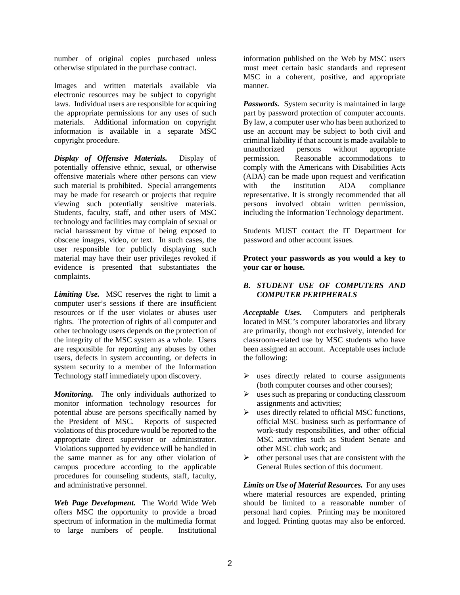number of original copies purchased unless otherwise stipulated in the purchase contract.

Images and written materials available via electronic resources may be subject to copyright laws. Individual users are responsible for acquiring the appropriate permissions for any uses of such materials. Additional information on copyright information is available in a separate MSC copyright procedure.

*Display of Offensive Materials.* Display of potentially offensive ethnic, sexual, or otherwise offensive materials where other persons can view such material is prohibited. Special arrangements may be made for research or projects that require viewing such potentially sensitive materials. Students, faculty, staff, and other users of MSC technology and facilities may complain of sexual or racial harassment by virtue of being exposed to obscene images, video, or text. In such cases, the user responsible for publicly displaying such material may have their user privileges revoked if evidence is presented that substantiates the complaints.

*Limiting Use.*MSC reserves the right to limit a computer user's sessions if there are insufficient resources or if the user violates or abuses user rights. The protection of rights of all computer and other technology users depends on the protection of the integrity of the MSC system as a whole. Users are responsible for reporting any abuses by other users, defects in system accounting, or defects in system security to a member of the Information Technology staff immediately upon discovery.

*Monitoring.*The only individuals authorized to monitor information technology resources for potential abuse are persons specifically named by the President of MSC. Reports of suspected violations of this procedure would be reported to the appropriate direct supervisor or administrator. Violations supported by evidence will be handled in the same manner as for any other violation of campus procedure according to the applicable procedures for counseling students, staff, faculty, and administrative personnel.

*Web Page Development.* The World Wide Web offers MSC the opportunity to provide a broad spectrum of information in the multimedia format to large numbers of people. Institutional information published on the Web by MSC users must meet certain basic standards and represent MSC in a coherent, positive, and appropriate manner.

*Passwords.* System security is maintained in large part by password protection of computer accounts. By law, a computer user who has been authorized to use an account may be subject to both civil and criminal liability if that account is made available to unauthorized persons without appropriate permission. Reasonable accommodations to comply with the Americans with Disabilities Acts (ADA) can be made upon request and verification<br>with the institution ADA compliance with the institution ADA compliance representative. It is strongly recommended that all persons involved obtain written permission, including the Information Technology department.

Students MUST contact the IT Department for password and other account issues.

**Protect your passwords as you would a key to your car or house.**

#### *B. STUDENT USE OF COMPUTERS AND COMPUTER PERIPHERALS*

*Acceptable Uses.*Computers and peripherals located in MSC's computer laboratories and library are primarily, though not exclusively, intended for classroom-related use by MSC students who have been assigned an account. Acceptable uses include the following:

- $\triangleright$  uses directly related to course assignments (both computer courses and other courses);
- $\triangleright$  uses such as preparing or conducting classroom assignments and activities;
- $\triangleright$  uses directly related to official MSC functions, official MSC business such as performance of work-study responsibilities, and other official MSC activities such as Student Senate and other MSC club work; and
- $\triangleright$  other personal uses that are consistent with the General Rules section of this document.

*Limits on Use of Material Resources.* For any uses where material resources are expended, printing should be limited to a reasonable number of personal hard copies. Printing may be monitored and logged. Printing quotas may also be enforced.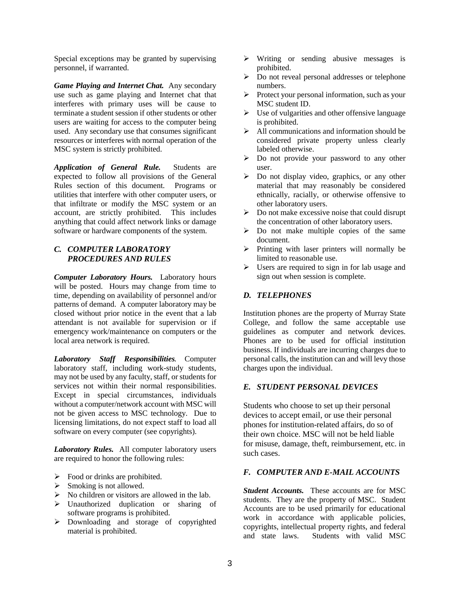Special exceptions may be granted by supervising personnel, if warranted.

*Game Playing and Internet Chat.* Any secondary use such as game playing and Internet chat that interferes with primary uses will be cause to terminate a student session if other students or other users are waiting for access to the computer being used. Any secondary use that consumes significant resources or interferes with normal operation of the MSC system is strictly prohibited.

*Application of General Rule.* Students are expected to follow all provisions of the General Rules section of this document. Programs or utilities that interfere with other computer users, or that infiltrate or modify the MSC system or an account, are strictly prohibited. This includes anything that could affect network links or damage software or hardware components of the system.

### *C. COMPUTER LABORATORY PROCEDURES AND RULES*

*Computer Laboratory Hours.* Laboratory hours will be posted. Hours may change from time to time, depending on availability of personnel and/or patterns of demand. A computer laboratory may be closed without prior notice in the event that a lab attendant is not available for supervision or if emergency work/maintenance on computers or the local area network is required.

*Laboratory Staff Responsibilities.* Computer laboratory staff, including work-study students, may not be used by any faculty, staff, or students for services not within their normal responsibilities. Except in special circumstances, individuals without a computer/network account with MSC will not be given access to MSC technology. Due to licensing limitations, do not expect staff to load all software on every computer (see copyrights).

*Laboratory Rules.* All computer laboratory users are required to honor the following rules:

- $\triangleright$  Food or drinks are prohibited.
- $\triangleright$  Smoking is not allowed.
- $\triangleright$  No children or visitors are allowed in the lab.
- Unauthorized duplication or sharing of software programs is prohibited.
- Downloading and storage of copyrighted material is prohibited.
- $\triangleright$  Writing or sending abusive messages is prohibited.
- Do not reveal personal addresses or telephone numbers.
- $\triangleright$  Protect your personal information, such as your MSC student ID.
- $\triangleright$  Use of vulgarities and other offensive language is prohibited.
- $\triangleright$  All communications and information should be considered private property unless clearly labeled otherwise.
- $\triangleright$  Do not provide your password to any other user.
- $\triangleright$  Do not display video, graphics, or any other material that may reasonably be considered ethnically, racially, or otherwise offensive to other laboratory users.
- $\triangleright$  Do not make excessive noise that could disrupt the concentration of other laboratory users.
- $\triangleright$  Do not make multiple copies of the same document.
- $\triangleright$  Printing with laser printers will normally be limited to reasonable use.
- $\triangleright$  Users are required to sign in for lab usage and sign out when session is complete.

## *D. TELEPHONES*

Institution phones are the property of Murray State College, and follow the same acceptable use guidelines as computer and network devices. Phones are to be used for official institution business. If individuals are incurring charges due to personal calls, the institution can and will levy those charges upon the individual.

#### *E. STUDENT PERSONAL DEVICES*

Students who choose to set up their personal devices to accept email, or use their personal phones for institution-related affairs, do so of their own choice. MSC will not be held liable for misuse, damage, theft, reimbursement, etc. in such cases.

### *F. COMPUTER AND E-MAIL ACCOUNTS*

*Student Accounts.* These accounts are for MSC students. They are the property of MSC. Student Accounts are to be used primarily for educational work in accordance with applicable policies, copyrights, intellectual property rights, and federal and state laws. Students with valid MSC